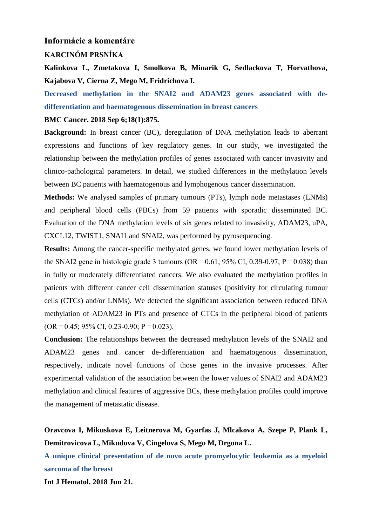## **Informácie a komentáre**

### **KARCINÓM PRSNÍKA**

**Kalinkova L, Zmetakova I, Smolkova B, Minarik G, Sedlackova T, Horvathova, Kajabova V, Cierna Z, Mego M, Fridrichova I.** 

**Decreased methylation in the SNAI2 and ADAM23 genes associated with dedifferentiation and haematogenous dissemination in breast cancers** 

### **BMC Cancer. 2018 Sep 6;18(1):875.**

**Background:** In breast cancer (BC), deregulation of DNA methylation leads to aberrant expressions and functions of key regulatory genes. In our study, we investigated the relationship between the methylation profiles of genes associated with cancer invasivity and clinico-pathological parameters. In detail, we studied differences in the methylation levels between BC patients with haematogenous and lymphogenous cancer dissemination.

**Methods:** We analysed samples of primary tumours (PTs), lymph node metastases (LNMs) and peripheral blood cells (PBCs) from 59 patients with sporadic disseminated BC. Evaluation of the DNA methylation levels of six genes related to invasivity, ADAM23, uPA, CXCL12, TWIST1, SNAI1 and SNAI2, was performed by pyrosequencing.

**Results:** Among the cancer-specific methylated genes, we found lower methylation levels of the SNAI2 gene in histologic grade 3 tumours (OR =  $0.61$ ; 95% CI, 0.39-0.97; P = 0.038) than in fully or moderately differentiated cancers. We also evaluated the methylation profiles in patients with different cancer cell dissemination statuses (positivity for circulating tumour cells (CTCs) and/or LNMs). We detected the significant association between reduced DNA methylation of ADAM23 in PTs and presence of CTCs in the peripheral blood of patients  $(OR = 0.45; 95\% \text{ CI}, 0.23-0.90; P = 0.023).$ 

**Conclusion:** The relationships between the decreased methylation levels of the SNAI2 and ADAM23 genes and cancer de-differentiation and haematogenous dissemination, respectively, indicate novel functions of those genes in the invasive processes. After experimental validation of the association between the lower values of SNAI2 and ADAM23 methylation and clinical features of aggressive BCs, these methylation profiles could improve the management of metastatic disease.

**Oravcova I, Mikuskova E, Leitnerova M, Gyarfas J, Mlcakova A, Szepe P, Plank L, Demitrovicova L, Mikudova V, Cingelova S, Mego M, Drgona L.**

**A unique clinical presentation of de novo acute promyelocytic leukemia as a myeloid sarcoma of the breast**

**Int J Hematol. 2018 Jun 21.**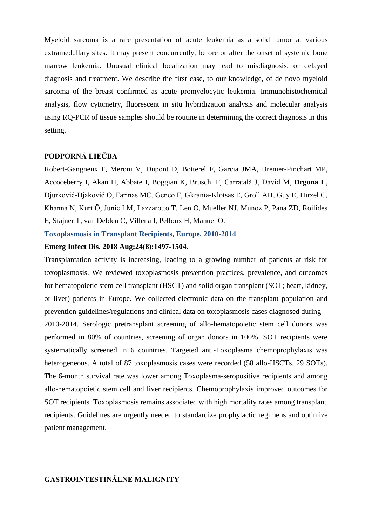Myeloid sarcoma is a rare presentation of acute leukemia as a solid tumor at various extramedullary sites. It may present concurrently, before or after the onset of systemic bone marrow leukemia. Unusual clinical localization may lead to misdiagnosis, or delayed diagnosis and treatment. We describe the first case, to our knowledge, of de novo myeloid sarcoma of the breast confirmed as acute promyelocytic leukemia. Immunohistochemical analysis, flow cytometry, fluorescent in situ hybridization analysis and molecular analysis using RQ-PCR of tissue samples should be routine in determining the correct diagnosis in this setting.

# **PODPORNÁ LIEČBA**

Robert-Gangneux F, Meroni V, Dupont D, Botterel F, Garcia JMA, Brenier-Pinchart MP, Accoceberry I, Akan H, Abbate I, Boggian K, Bruschi F, Carratalà J, David M, **Drgona L**, Djurković-Djaković O, Farinas MC, Genco F, Gkrania-Klotsas E, Groll AH, Guy E, Hirzel C, Khanna N, Kurt Ö, Junie LM, Lazzarotto T, Len O, Mueller NJ, Munoz P, Pana ZD, Roilides E, Stajner T, van Delden C, Villena I, Pelloux H, Manuel O.

**Toxoplasmosis in Transplant Recipients, Europe, 2010-2014**

#### **Emerg Infect Dis. 2018 Aug;24(8):1497-1504.**

Transplantation activity is increasing, leading to a growing number of patients at risk for toxoplasmosis. We reviewed toxoplasmosis prevention practices, prevalence, and outcomes for hematopoietic stem cell transplant (HSCT) and solid organ transplant (SOT; heart, kidney, or liver) patients in Europe. We collected electronic data on the transplant population and prevention guidelines/regulations and clinical data on toxoplasmosis cases diagnosed during 2010-2014. Serologic pretransplant screening of allo-hematopoietic stem cell donors was performed in 80% of countries, screening of organ donors in 100%. SOT recipients were systematically screened in 6 countries. Targeted anti-Toxoplasma chemoprophylaxis was heterogeneous. A total of 87 toxoplasmosis cases were recorded (58 allo-HSCTs, 29 SOTs). The 6-month survival rate was lower among Toxoplasma-seropositive recipients and among allo-hematopoietic stem cell and liver recipients. Chemoprophylaxis improved outcomes for SOT recipients. Toxoplasmosis remains associated with high mortality rates among transplant recipients. Guidelines are urgently needed to standardize prophylactic regimens and optimize patient management.

## **GASTROINTESTINÁLNE MALIGNITY**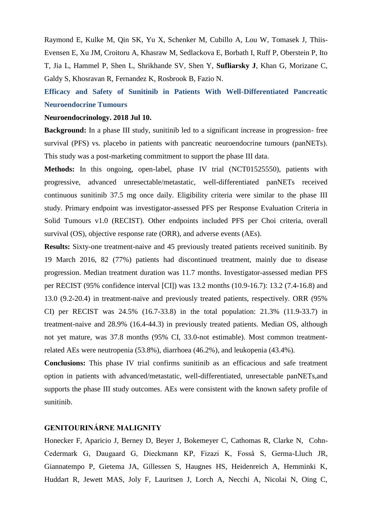Raymond E, Kulke M, Qin SK, Yu X, Schenker M, Cubillo A, Lou W, Tomasek J, Thiis-Evensen E, Xu JM, Croitoru A, Khasraw M, Sedlackova E, Borbath I, Ruff P, Oberstein P, Ito T, Jia L, Hammel P, Shen L, Shrikhande SV, Shen Y, **Sufliarsky J**, Khan G, Morizane C, Galdy S, Khosravan R, Fernandez K, Rosbrook B, Fazio N.

**Efficacy and Safety of Sunitinib in Patients With Well-Differentiated Pancreatic Neuroendocrine Tumours**

#### **Neuroendocrinology. 2018 Jul 10.**

**Background:** In a phase III study, sunitinib led to a significant increase in progression- free survival (PFS) vs. placebo in patients with pancreatic neuroendocrine tumours (panNETs). This study was a post-marketing commitment to support the phase III data.

**Methods:** In this ongoing, open-label, phase IV trial (NCT01525550), patients with progressive, advanced unresectable/metastatic, well-differentiated panNETs received continuous sunitinib 37.5 mg once daily. Eligibility criteria were similar to the phase III study. Primary endpoint was investigator-assessed PFS per Response Evaluation Criteria in Solid Tumours v1.0 (RECIST). Other endpoints included PFS per Choi criteria, overall survival (OS), objective response rate (ORR), and adverse events (AEs).

**Results:** Sixty-one treatment-naive and 45 previously treated patients received sunitinib. By 19 March 2016, 82 (77%) patients had discontinued treatment, mainly due to disease progression. Median treatment duration was 11.7 months. Investigator-assessed median PFS per RECIST (95% confidence interval [CI]) was 13.2 months (10.9-16.7): 13.2 (7.4-16.8) and 13.0 (9.2-20.4) in treatment-naive and previously treated patients, respectively. ORR (95% CI) per RECIST was 24.5% (16.7-33.8) in the total population: 21.3% (11.9-33.7) in treatment-naive and 28.9% (16.4-44.3) in previously treated patients. Median OS, although not yet mature, was 37.8 months (95% CI, 33.0-not estimable). Most common treatmentrelated AEs were neutropenia (53.8%), diarrhoea (46.2%), and leukopenia (43.4%).

**Conclusions:** This phase IV trial confirms sunitinib as an efficacious and safe treatment option in patients with advanced/metastatic, well-differentiated, unresectable panNETs,and supports the phase III study outcomes. AEs were consistent with the known safety profile of sunitinib.

# **GENITOURINÁRNE MALIGNITY**

Honecker F, Aparicio J, Berney D, Beyer J, Bokemeyer C, Cathomas R, Clarke N, Cohn-Cedermark G, Daugaard G, Dieckmann KP, Fizazi K, Fosså S, Germa-Lluch JR, Giannatempo P, Gietema JA, Gillessen S, Haugnes HS, Heidenreich A, Hemminki K, Huddart R, Jewett MAS, Joly F, Lauritsen J, Lorch A, Necchi A, Nicolai N, Oing C,